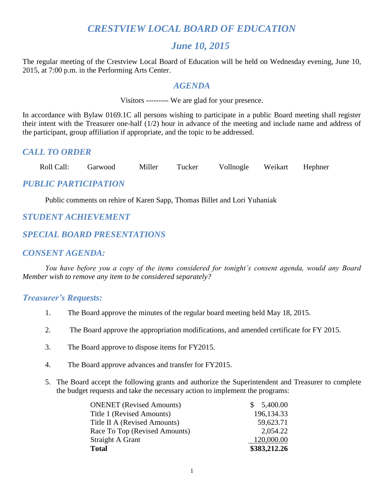# *CRESTVIEW LOCAL BOARD OF EDUCATION*

# *June 10, 2015*

The regular meeting of the Crestview Local Board of Education will be held on Wednesday evening, June 10, 2015, at 7:00 p.m. in the Performing Arts Center.

# *AGENDA*

Visitors --------- We are glad for your presence.

In accordance with Bylaw 0169.1C all persons wishing to participate in a public Board meeting shall register their intent with the Treasurer one-half (1/2) hour in advance of the meeting and include name and address of the participant, group affiliation if appropriate, and the topic to be addressed.

# *CALL TO ORDER*

Roll Call: Garwood Miller Tucker Vollnogle Weikart Hephner

# *PUBLIC PARTICIPATION*

Public comments on rehire of Karen Sapp, Thomas Billet and Lori Yuhaniak

# *STUDENT ACHIEVEMENT*

# *SPECIAL BOARD PRESENTATIONS*

# *CONSENT AGENDA:*

*You have before you a copy of the items considered for tonight's consent agenda, would any Board Member wish to remove any item to be considered separately?*

# *Treasurer's Requests:*

- 1. The Board approve the minutes of the regular board meeting held May 18, 2015.
- 2. The Board approve the appropriation modifications, and amended certificate for FY 2015.
- 3. The Board approve to dispose items for FY2015.
- 4. The Board approve advances and transfer for FY2015.
- 5. The Board accept the following grants and authorize the Superintendent and Treasurer to complete the budget requests and take the necessary action to implement the programs:

| <b>ONENET</b> (Revised Amounts) | \$5,400.00   |
|---------------------------------|--------------|
| Title 1 (Revised Amounts)       | 196, 134. 33 |
| Title II A (Revised Amounts)    | 59,623.71    |
| Race To Top (Revised Amounts)   | 2,054.22     |
| Straight A Grant                | 120,000.00   |
| <b>Total</b>                    | \$383,212.26 |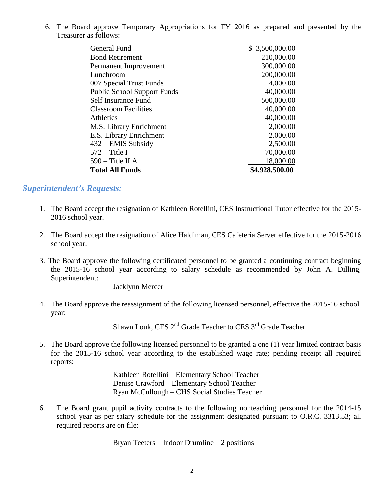6. The Board approve Temporary Appropriations for FY 2016 as prepared and presented by the Treasurer as follows:

| General Fund                       | \$3,500,000.00 |
|------------------------------------|----------------|
| <b>Bond Retirement</b>             | 210,000.00     |
| Permanent Improvement              | 300,000.00     |
| Lunchroom                          | 200,000.00     |
| 007 Special Trust Funds            | 4,000.00       |
| <b>Public School Support Funds</b> | 40,000.00      |
| Self Insurance Fund                | 500,000.00     |
| <b>Classroom Facilities</b>        | 40,000.00      |
| Athletics                          | 40,000.00      |
| M.S. Library Enrichment            | 2,000.00       |
| E.S. Library Enrichment            | 2,000.00       |
| 432 – EMIS Subsidy                 | 2,500.00       |
| $572 -$ Title I                    | 70,000.00      |
| $590 -$ Title II A                 | 18,000.00      |
| <b>Total All Funds</b>             | \$4,928,500.00 |

# *Superintendent's Requests:*

- 1. The Board accept the resignation of Kathleen Rotellini, CES Instructional Tutor effective for the 2015- 2016 school year.
- 2. The Board accept the resignation of Alice Haldiman, CES Cafeteria Server effective for the 2015-2016 school year.
- 3. The Board approve the following certificated personnel to be granted a continuing contract beginning the 2015-16 school year according to salary schedule as recommended by John A. Dilling, Superintendent:

Jacklynn Mercer

4. The Board approve the reassignment of the following licensed personnel, effective the 2015-16 school year:

Shawn Louk, CES 2<sup>nd</sup> Grade Teacher to CES 3<sup>rd</sup> Grade Teacher

5. The Board approve the following licensed personnel to be granted a one (1) year limited contract basis for the 2015-16 school year according to the established wage rate; pending receipt all required reports:

> Kathleen Rotellini – Elementary School Teacher Denise Crawford – Elementary School Teacher Ryan McCullough – CHS Social Studies Teacher

6. The Board grant pupil activity contracts to the following nonteaching personnel for the 2014-15 school year as per salary schedule for the assignment designated pursuant to O.R.C. 3313.53; all required reports are on file:

Bryan Teeters – Indoor Drumline – 2 positions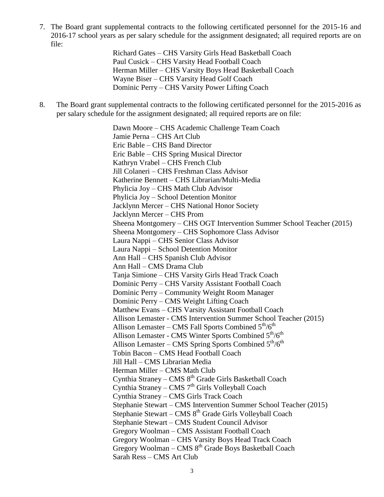7. The Board grant supplemental contracts to the following certificated personnel for the 2015-16 and 2016-17 school years as per salary schedule for the assignment designated; all required reports are on file:

> Richard Gates – CHS Varsity Girls Head Basketball Coach Paul Cusick – CHS Varsity Head Football Coach Herman Miller – CHS Varsity Boys Head Basketball Coach Wayne Biser – CHS Varsity Head Golf Coach Dominic Perry – CHS Varsity Power Lifting Coach

8. The Board grant supplemental contracts to the following certificated personnel for the 2015-2016 as per salary schedule for the assignment designated; all required reports are on file:

> Dawn Moore – CHS Academic Challenge Team Coach Jamie Perna – CHS Art Club Eric Bable – CHS Band Director Eric Bable – CHS Spring Musical Director Kathryn Vrabel – CHS French Club Jill Colaneri – CHS Freshman Class Advisor Katherine Bennett – CHS Librarian/Multi-Media Phylicia Joy – CHS Math Club Advisor Phylicia Joy – School Detention Monitor Jacklynn Mercer – CHS National Honor Society Jacklynn Mercer – CHS Prom Sheena Montgomery – CHS OGT Intervention Summer School Teacher (2015) Sheena Montgomery – CHS Sophomore Class Advisor Laura Nappi – CHS Senior Class Advisor Laura Nappi – School Detention Monitor Ann Hall – CHS Spanish Club Advisor Ann Hall – CMS Drama Club Tanja Simione – CHS Varsity Girls Head Track Coach Dominic Perry – CHS Varsity Assistant Football Coach Dominic Perry – Community Weight Room Manager Dominic Perry – CMS Weight Lifting Coach Matthew Evans – CHS Varsity Assistant Football Coach Allison Lemaster - CMS Intervention Summer School Teacher (2015) Allison Lemaster – CMS Fall Sports Combined  $5<sup>th</sup>/6<sup>th</sup>$ Allison Lemaster - CMS Winter Sports Combined  $5<sup>th</sup>/6<sup>th</sup>$ Allison Lemaster – CMS Spring Sports Combined  $5<sup>th</sup>/6<sup>th</sup>$ Tobin Bacon – CMS Head Football Coach Jill Hall – CMS Librarian Media Herman Miller – CMS Math Club Cynthia Straney - CMS 8<sup>th</sup> Grade Girls Basketball Coach Cynthia Straney – CMS  $7<sup>th</sup>$  Girls Volleyball Coach Cynthia Straney – CMS Girls Track Coach Stephanie Stewart – CMS Intervention Summer School Teacher (2015) Stephanie Stewart – CMS 8<sup>th</sup> Grade Girls Volleyball Coach Stephanie Stewart – CMS Student Council Advisor Gregory Woolman – CMS Assistant Football Coach Gregory Woolman – CHS Varsity Boys Head Track Coach Gregory Woolman – CMS  $8<sup>th</sup>$  Grade Boys Basketball Coach Sarah Ress – CMS Art Club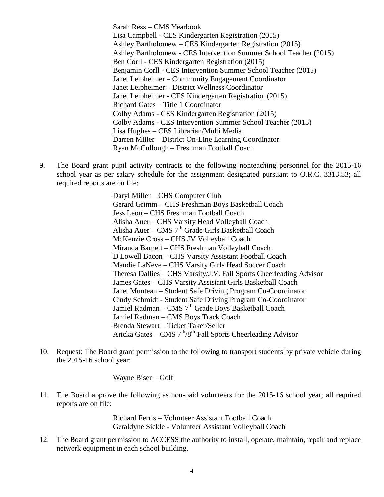Sarah Ress – CMS Yearbook Lisa Campbell - CES Kindergarten Registration (2015) Ashley Bartholomew – CES Kindergarten Registration (2015) Ashley Bartholomew - CES Intervention Summer School Teacher (2015) Ben Corll - CES Kindergarten Registration (2015) Benjamin Corll - CES Intervention Summer School Teacher (2015) Janet Leipheimer – Community Engagement Coordinator Janet Leipheimer – District Wellness Coordinator Janet Leipheimer - CES Kindergarten Registration (2015) Richard Gates – Title 1 Coordinator Colby Adams - CES Kindergarten Registration (2015) Colby Adams - CES Intervention Summer School Teacher (2015) Lisa Hughes – CES Librarian/Multi Media Darren Miller – District On-Line Learning Coordinator Ryan McCullough – Freshman Football Coach

9. The Board grant pupil activity contracts to the following nonteaching personnel for the 2015-16 school year as per salary schedule for the assignment designated pursuant to O.R.C. 3313.53; all required reports are on file:

> Daryl Miller – CHS Computer Club Gerard Grimm – CHS Freshman Boys Basketball Coach Jess Leon – CHS Freshman Football Coach Alisha Auer – CHS Varsity Head Volleyball Coach Alisha Auer – CMS  $7<sup>th</sup>$  Grade Girls Basketball Coach McKenzie Cross – CHS JV Volleyball Coach Miranda Barnett – CHS Freshman Volleyball Coach D Lowell Bacon – CHS Varsity Assistant Football Coach Mandie LaNeve – CHS Varsity Girls Head Soccer Coach Theresa Dallies – CHS Varsity/J.V. Fall Sports Cheerleading Advisor James Gates – CHS Varsity Assistant Girls Basketball Coach Janet Muntean – Student Safe Driving Program Co-Coordinator Cindy Schmidt - Student Safe Driving Program Co-Coordinator Jamiel Radman – CMS  $7<sup>th</sup>$  Grade Boys Basketball Coach Jamiel Radman – CMS Boys Track Coach Brenda Stewart – Ticket Taker/Seller Aricka Gates - CMS 7<sup>th</sup>/8<sup>th</sup> Fall Sports Cheerleading Advisor

10. Request: The Board grant permission to the following to transport students by private vehicle during the 2015-16 school year:

Wayne Biser – Golf

11. The Board approve the following as non-paid volunteers for the 2015-16 school year; all required reports are on file:

> Richard Ferris – Volunteer Assistant Football Coach Geraldyne Sickle - Volunteer Assistant Volleyball Coach

12. The Board grant permission to ACCESS the authority to install, operate, maintain, repair and replace network equipment in each school building.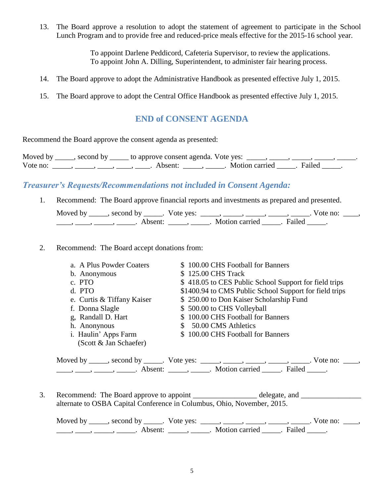13. The Board approve a resolution to adopt the statement of agreement to participate in the School Lunch Program and to provide free and reduced-price meals effective for the 2015-16 school year.

> To appoint Darlene Peddicord, Cafeteria Supervisor, to review the applications. To appoint John A. Dilling, Superintendent, to administer fair hearing process.

- 14. The Board approve to adopt the Administrative Handbook as presented effective July 1, 2015.
- 15. The Board approve to adopt the Central Office Handbook as presented effective July 1, 2015.

# **END of CONSENT AGENDA**

Recommend the Board approve the consent agenda as presented:

| Moved by | second by ______ to approve consent agenda. Vote yes: |                  |        |  |
|----------|-------------------------------------------------------|------------------|--------|--|
| Vote no: | Absent:                                               | Motion carried . | Failed |  |

# *Treasurer's Requests/Recommendations not included in Consent Agenda:*

1. Recommend: The Board approve financial reports and investments as prepared and presented.

| Moved by | , second by         | Vote yes: |                |        | Vote no: |  |
|----------|---------------------|-----------|----------------|--------|----------|--|
|          | Absent <sup>.</sup> |           | Motion carried | Failed |          |  |

#### 2. Recommend: The Board accept donations from:

| a. A Plus Powder Coaters   | \$100.00 CHS Football for Banners                                                            |
|----------------------------|----------------------------------------------------------------------------------------------|
| b. Anonymous               | \$125.00 CHS Track                                                                           |
| c. PTO                     | \$418.05 to CES Public School Support for field trips                                        |
| d. PTO                     | \$1400.94 to CMS Public School Support for field trips                                       |
| e. Curtis & Tiffany Kaiser | \$250.00 to Don Kaiser Scholarship Fund                                                      |
| f. Donna Slagle            | \$500.00 to CHS Volleyball                                                                   |
| g, Randall D. Hart         | \$100.00 CHS Football for Banners                                                            |
| h. Anonynous               | 50.00 CMS Athletics                                                                          |
| i. Haulin' Apps Farm       | \$100.00 CHS Football for Banners                                                            |
| (Scott & Jan Schaefer)     |                                                                                              |
|                            |                                                                                              |
|                            | Moved by _____, second by _____. Vote yes: _____, _____, _____, _____, _____. Vote no: ____, |

\_\_\_\_\_, \_\_\_\_\_\_, \_\_\_\_\_\_\_. Absent: \_\_\_\_\_\_, \_\_\_\_\_\_. Motion carried \_\_\_\_\_\_. Failed \_\_\_\_\_.

3. Recommend: The Board approve to appoint delegate, and delegate and  $\alpha$ alternate to OSBA Capital Conference in Columbus, Ohio, November, 2015.

Moved by \_\_\_\_\_, second by \_\_\_\_\_. Vote yes:  $\frac{1}{\sqrt{2}}$ , \_\_\_\_, \_\_\_\_, \_\_\_\_, \_\_\_\_, \_\_\_\_. Vote no: \_\_\_\_, \_\_\_\_\_, \_\_\_\_\_, \_\_\_\_\_\_\_. Absent: \_\_\_\_\_\_, \_\_\_\_\_\_. Motion carried \_\_\_\_\_. Failed \_\_\_\_\_.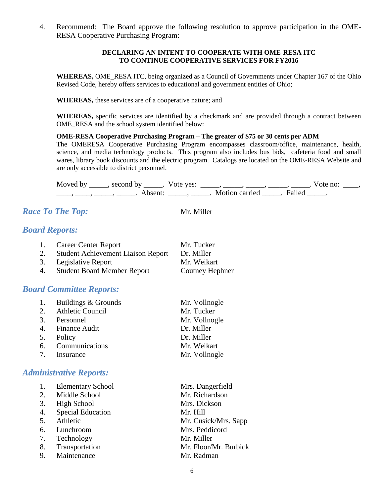4. Recommend: The Board approve the following resolution to approve participation in the OME-RESA Cooperative Purchasing Program:

#### **DECLARING AN INTENT TO COOPERATE WITH OME-RESA ITC TO CONTINUE COOPERATIVE SERVICES FOR FY2016**

**WHEREAS,** OME\_RESA ITC, being organized as a Council of Governments under Chapter 167 of the Ohio Revised Code, hereby offers services to educational and government entities of Ohio;

**WHEREAS,** these services are of a cooperative nature; and

**WHEREAS,** specific services are identified by a checkmark and are provided through a contract between OME\_RESA and the school system identified below:

#### **OME-RESA Cooperative Purchasing Program – The greater of \$75 or 30 cents per ADM**

The OMERESA Cooperative Purchasing Program encompasses classroom/office, maintenance, health, science, and media technology products. This program also includes bus bids, cafeteria food and small wares, library book discounts and the electric program. Catalogs are located on the OME-RESA Website and are only accessible to district personnel.

Moved by \_\_\_\_\_, second by \_\_\_\_\_. Vote yes:  $\_\_\_\_\_\_\_\_\_\_\_\_\_\_\_$  \_\_\_\_\_, \_\_\_\_\_, \_\_\_\_. Vote no:  $\_\_\_\_\_\$ \_\_\_\_\_, \_\_\_\_\_\_, \_\_\_\_\_\_\_. Absent: \_\_\_\_\_\_, \_\_\_\_\_\_. Motion carried \_\_\_\_\_\_. Failed \_\_\_\_\_.

# *Race To The Top:* Mr. Miller

# *Board Reports:*

|    | 1. Career Center Report                   | Mr. Tucker      |
|----|-------------------------------------------|-----------------|
| 2. | <b>Student Achievement Liaison Report</b> | Dr. Miller      |
| 3. | Legislative Report                        | Mr. Weikart     |
| 4. | <b>Student Board Member Report</b>        | Coutney Hephner |

# *Board Committee Reports:*

| 1. | Buildings & Grounds | Mr. Vollnogle |
|----|---------------------|---------------|
|    | 2. Athletic Council | Mr. Tucker    |
|    | 3. Personnel        | Mr. Vollnogle |
|    | 4. Finance Audit    | Dr. Miller    |
|    | 5. Policy           | Dr. Miller    |
|    | 6. Communications   | Mr. Weikart   |
|    | 7. Insurance        | Mr. Vollnogle |

# *Administrative Reports:*

| <b>Elementary School</b> | Mrs. Dangerfield                                                                                                              |
|--------------------------|-------------------------------------------------------------------------------------------------------------------------------|
|                          | Mr. Richardson                                                                                                                |
|                          | Mrs. Dickson                                                                                                                  |
| <b>Special Education</b> | Mr. Hill                                                                                                                      |
|                          | Mr. Cusick/Mrs. Sapp                                                                                                          |
|                          | Mrs. Peddicord                                                                                                                |
|                          | Mr. Miller                                                                                                                    |
|                          | Mr. Floor/Mr. Burbick                                                                                                         |
|                          | Mr. Radman                                                                                                                    |
|                          | 2. Middle School<br><b>High School</b><br>5. Athletic<br>6. Lunchroom<br>7. Technology<br>8. Transportation<br>9. Maintenance |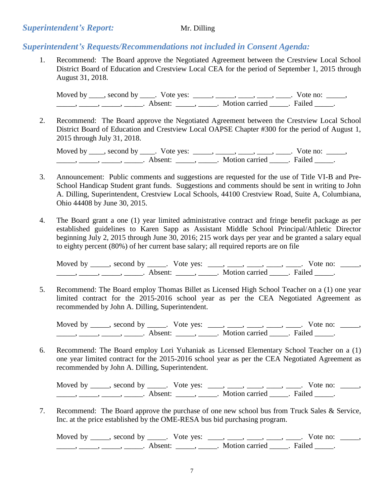### *Superintendent's Report:* Mr. Dilling

# *Superintendent's Requests/Recommendations not included in Consent Agenda:*

1. Recommend: The Board approve the Negotiated Agreement between the Crestview Local School District Board of Education and Crestview Local CEA for the period of September 1, 2015 through August 31, 2018.

Moved by  $\_\_\_\_$ , second by  $\_\_\_\_$ . Vote yes:  $\_\_\_\_\_\_\_\_\_\_\_\_\_$ ,  $\_\_\_\_\_\_\_\_\_\_\_\_\_\_\_\_\_\_\_\_\_\_\_$ . Vote no:  $\_\_\_\_\_\_\_\_$ \_\_\_\_\_\_\_, \_\_\_\_\_\_, \_\_\_\_\_\_\_. Absent: \_\_\_\_\_\_, \_\_\_\_\_\_. Motion carried \_\_\_\_\_\_. Failed \_\_\_\_\_.

2. Recommend: The Board approve the Negotiated Agreement between the Crestview Local School District Board of Education and Crestview Local OAPSE Chapter #300 for the period of August 1, 2015 through July 31, 2018.

Moved by \_\_\_\_, second by \_\_\_\_. Vote yes: \_\_\_\_\_, \_\_\_\_, \_\_\_\_, \_\_\_\_, \_\_\_\_. Vote no: \_\_\_\_\_,  $\frac{1}{\sqrt{2\pi}}$ ,  $\frac{1}{\sqrt{2\pi}}$ ,  $\frac{1}{\sqrt{2\pi}}$ ,  $\frac{1}{\sqrt{2\pi}}$ ,  $\frac{1}{\sqrt{2\pi}}$ ,  $\frac{1}{\sqrt{2\pi}}$ ,  $\frac{1}{\sqrt{2\pi}}$ ,  $\frac{1}{\sqrt{2\pi}}$ ,  $\frac{1}{\sqrt{2\pi}}$ ,  $\frac{1}{\sqrt{2\pi}}$ ,  $\frac{1}{\sqrt{2\pi}}$ ,  $\frac{1}{\sqrt{2\pi}}$ ,  $\frac{1}{\sqrt{2\pi}}$ ,  $\frac{1}{\sqrt{2\pi}}$ 

- 3. Announcement: Public comments and suggestions are requested for the use of Title VI-B and Pre-School Handicap Student grant funds. Suggestions and comments should be sent in writing to John A. Dilling, Superintendent, Crestview Local Schools, 44100 Crestview Road, Suite A, Columbiana, Ohio 44408 by June 30, 2015.
- 4. The Board grant a one (1) year limited administrative contract and fringe benefit package as per established guidelines to Karen Sapp as Assistant Middle School Principal/Athletic Director beginning July 2, 2015 through June 30, 2016; 215 work days per year and be granted a salary equal to eighty percent (80%) of her current base salary; all required reports are on file

Moved by \_\_\_\_\_, second by \_\_\_\_\_. Vote yes: \_\_\_\_, \_\_\_\_, \_\_\_\_, \_\_\_\_, \_\_\_\_. Vote no: \_\_\_\_\_,  $\frac{1}{\sqrt{2}}$ ,  $\frac{1}{\sqrt{2}}$ ,  $\frac{1}{\sqrt{2}}$ ,  $\frac{1}{\sqrt{2}}$ ,  $\frac{1}{\sqrt{2}}$ ,  $\frac{1}{\sqrt{2}}$ ,  $\frac{1}{\sqrt{2}}$ ,  $\frac{1}{\sqrt{2}}$ ,  $\frac{1}{\sqrt{2}}$ ,  $\frac{1}{\sqrt{2}}$ ,  $\frac{1}{\sqrt{2}}$ ,  $\frac{1}{\sqrt{2}}$ ,  $\frac{1}{\sqrt{2}}$ ,  $\frac{1}{\sqrt{2}}$ ,  $\frac{1}{\sqrt{2}}$ ,  $\frac{1}{\sqrt{2}}$ 

5. Recommend: The Board employ Thomas Billet as Licensed High School Teacher on a (1) one year limited contract for the 2015-2016 school year as per the CEA Negotiated Agreement as recommended by John A. Dilling, Superintendent.

Moved by \_\_\_\_\_, second by \_\_\_\_\_. Vote yes: \_\_\_\_, \_\_\_\_, \_\_\_\_, \_\_\_\_, \_\_\_\_. Vote no: \_\_\_\_\_, \_\_\_\_\_, \_\_\_\_\_, \_\_\_\_\_, \_\_\_\_\_. Absent: \_\_\_\_\_, \_\_\_\_\_. Motion carried \_\_\_\_\_. Failed \_\_\_\_\_.

6. Recommend: The Board employ Lori Yuhaniak as Licensed Elementary School Teacher on a (1) one year limited contract for the 2015-2016 school year as per the CEA Negotiated Agreement as recommended by John A. Dilling, Superintendent.

Moved by \_\_\_\_, second by \_\_\_\_. Vote yes: \_\_\_, \_\_\_, \_\_\_, \_\_\_, \_\_\_. Vote no: \_\_\_\_, \_\_\_\_\_\_\_, \_\_\_\_\_\_, \_\_\_\_\_\_\_. Absent: \_\_\_\_\_\_, \_\_\_\_\_\_. Motion carried \_\_\_\_\_\_. Failed \_\_\_\_\_.

7. Recommend: The Board approve the purchase of one new school bus from Truck Sales & Service, Inc. at the price established by the OME-RESA bus bid purchasing program.

Moved by \_\_\_\_\_, second by \_\_\_\_\_. Vote yes: \_\_\_\_, \_\_\_\_, \_\_\_\_, \_\_\_\_, \_\_\_\_. Vote no: \_\_\_\_\_, \_\_\_\_\_\_, \_\_\_\_\_\_, \_\_\_\_\_\_\_. Absent: \_\_\_\_\_\_, \_\_\_\_\_\_. Motion carried \_\_\_\_\_. Failed \_\_\_\_\_.